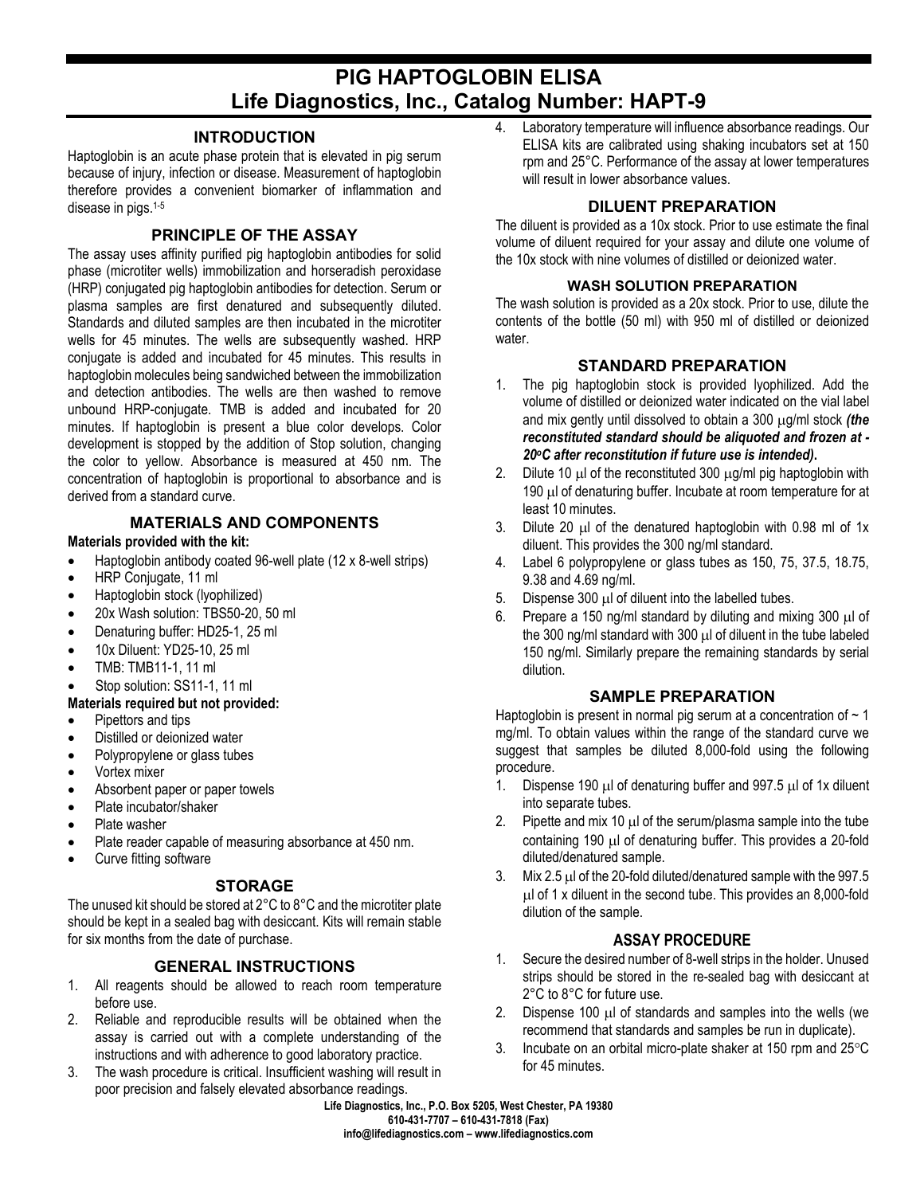# **PIG HAPTOGLOBIN ELISA Life Diagnostics, Inc., Catalog Number: HAPT-9**

## **INTRODUCTION**

Haptoglobin is an acute phase protein that is elevated in pig serum because of injury, infection or disease. Measurement of haptoglobin therefore provides a convenient biomarker of inflammation and disease in pigs.1-5

## **PRINCIPLE OF THE ASSAY**

The assay uses affinity purified pig haptoglobin antibodies for solid phase (microtiter wells) immobilization and horseradish peroxidase (HRP) conjugated pig haptoglobin antibodies for detection. Serum or plasma samples are first denatured and subsequently diluted. Standards and diluted samples are then incubated in the microtiter wells for 45 minutes. The wells are subsequently washed. HRP conjugate is added and incubated for 45 minutes. This results in haptoglobin molecules being sandwiched between the immobilization and detection antibodies. The wells are then washed to remove unbound HRP-conjugate. TMB is added and incubated for 20 minutes. If haptoglobin is present a blue color develops. Color development is stopped by the addition of Stop solution, changing the color to yellow. Absorbance is measured at 450 nm. The concentration of haptoglobin is proportional to absorbance and is derived from a standard curve.

# **MATERIALS AND COMPONENTS**

#### **Materials provided with the kit:**

- Haptoglobin antibody coated 96-well plate (12 x 8-well strips)
- HRP Conjugate, 11 ml
- Haptoglobin stock (lyophilized)
- 20x Wash solution: TBS50-20, 50 ml
- Denaturing buffer: HD25-1, 25 ml
- 10x Diluent: YD25-10, 25 ml
- TMB: TMB11-1, 11 ml
- Stop solution: SS11-1, 11 ml

#### **Materials required but not provided:**

- Pipettors and tips
- Distilled or deionized water
- Polypropylene or glass tubes
- Vortex mixer
- Absorbent paper or paper towels
- Plate incubator/shaker
- Plate washer
- Plate reader capable of measuring absorbance at 450 nm.
- Curve fitting software

#### **STORAGE**

The unused kit should be stored at 2°C to 8°C and the microtiter plate should be kept in a sealed bag with desiccant. Kits will remain stable for six months from the date of purchase.

#### **GENERAL INSTRUCTIONS**

- 1. All reagents should be allowed to reach room temperature before use.
- 2. Reliable and reproducible results will be obtained when the assay is carried out with a complete understanding of the instructions and with adherence to good laboratory practice.
- 3. The wash procedure is critical. Insufficient washing will result in poor precision and falsely elevated absorbance readings.

4. Laboratory temperature will influence absorbance readings. Our ELISA kits are calibrated using shaking incubators set at 150 rpm and 25°C. Performance of the assay at lower temperatures will result in lower absorbance values.

# **DILUENT PREPARATION**

The diluent is provided as a 10x stock. Prior to use estimate the final volume of diluent required for your assay and dilute one volume of the 10x stock with nine volumes of distilled or deionized water.

## **WASH SOLUTION PREPARATION**

The wash solution is provided as a 20x stock. Prior to use, dilute the contents of the bottle (50 ml) with 950 ml of distilled or deionized water.

# **STANDARD PREPARATION**

- 1. The pig haptoglobin stock is provided lyophilized. Add the volume of distilled or deionized water indicated on the vial label and mix gently until dissolved to obtain a 300 µg/ml stock *(the reconstituted standard should be aliquoted and frozen at - 20oC after reconstitution if future use is intended)***.**
- 2. Dilute 10  $\mu$  of the reconstituted 300  $\mu$ g/ml pig haptoglobin with 190 µl of denaturing buffer. Incubate at room temperature for at least 10 minutes.
- 3. Dilute 20  $\mu$  of the denatured haptoglobin with 0.98 ml of 1x diluent. This provides the 300 ng/ml standard.
- 4. Label 6 polypropylene or glass tubes as 150, 75, 37.5, 18.75, 9.38 and 4.69 ng/ml.
- 5. Dispense 300 µl of diluent into the labelled tubes.
- 6. Prepare a 150 ng/ml standard by diluting and mixing 300 µl of the 300 ng/ml standard with 300 µl of diluent in the tube labeled 150 ng/ml. Similarly prepare the remaining standards by serial dilution.

# **SAMPLE PREPARATION**

Haptoglobin is present in normal pig serum at a concentration of  $\sim$  1 mg/ml. To obtain values within the range of the standard curve we suggest that samples be diluted 8,000-fold using the following procedure.

- 1. Dispense 190  $\mu$  of denaturing buffer and 997.5  $\mu$  of 1x diluent into separate tubes.
- 2. Pipette and mix 10  $\mu$  of the serum/plasma sample into the tube containing 190 µl of denaturing buffer. This provides a 20-fold diluted/denatured sample.
- 3. Mix 2.5 µl of the 20-fold diluted/denatured sample with the 997.5 µl of 1 x diluent in the second tube. This provides an 8,000-fold dilution of the sample.

#### **ASSAY PROCEDURE**

- 1. Secure the desired number of 8-well strips in the holder. Unused strips should be stored in the re-sealed bag with desiccant at 2°C to 8°C for future use.
- 2. Dispense 100 µl of standards and samples into the wells (we recommend that standards and samples be run in duplicate).
- 3. Incubate on an orbital micro-plate shaker at 150 rpm and  $25^{\circ}$ C for 45 minutes.

**Life Diagnostics, Inc., P.O. Box 5205, West Chester, PA 19380 610-431-7707 – 610-431-7818 (Fax) info@lifediagnostics.com – www.lifediagnostics.com**